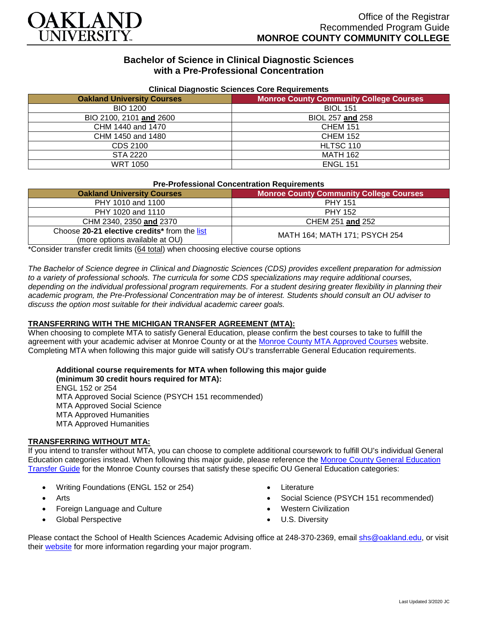

## **Bachelor of Science in Clinical Diagnostic Sciences with a Pre-Professional Concentration**

| Cilincal Diagnostic Sciences Core Reguliements |                                                |
|------------------------------------------------|------------------------------------------------|
| <b>Oakland University Courses</b>              | <b>Monroe County Community College Courses</b> |
| <b>BIO 1200</b>                                | <b>BIOL 151</b>                                |
| BIO 2100, 2101 and 2600                        | BIOL 257 and 258                               |
| CHM 1440 and 1470                              | <b>CHEM 151</b>                                |
| CHM 1450 and 1480                              | <b>CHEM 152</b>                                |
| CDS 2100                                       | HLTSC 110                                      |
| STA 2220                                       | <b>MATH 162</b>                                |
| <b>WRT 1050</b>                                | <b>ENGL 151</b>                                |

#### **Clinical Diagnostic Sciences Core Requirements**

#### **Pre-Professional Concentration Requirements**

| <b>Oakland University Courses</b>                                              | <b>Monroe County Community College Courses</b> |
|--------------------------------------------------------------------------------|------------------------------------------------|
| PHY 1010 and 1100                                                              | <b>PHY 151</b>                                 |
| PHY 1020 and 1110                                                              | <b>PHY 152</b>                                 |
| CHM 2340, 2350 and 2370                                                        | CHEM 251 and 252                               |
| Choose 20-21 elective credits* from the list<br>(more options available at OU) | MATH 164; MATH 171; PSYCH 254                  |

\*Consider transfer credit limits (64 total) when choosing elective course options

*The Bachelor of Science degree in Clinical and Diagnostic Sciences (CDS) provides excellent preparation for admission to a variety of professional schools. The curricula for some CDS specializations may require additional courses,*  depending on the individual professional program requirements. For a student desiring greater flexibility in planning their *academic program, the Pre-Professional Concentration may be of interest. Students should consult an OU adviser to discuss the option most suitable for their individual academic career goals.*

### **TRANSFERRING WITH THE MICHIGAN TRANSFER AGREEMENT (MTA):**

When choosing to complete MTA to satisfy General Education, please confirm the best courses to take to fulfill the agreement with your academic adviser at Monroe County or at the [Monroe County MTA Approved Courses](https://www.monroeccc.edu/transfer/michigan-transfer-agreement) website. Completing MTA when following this major guide will satisfy OU's transferrable General Education requirements.

# **Additional course requirements for MTA when following this major guide**

**(minimum 30 credit hours required for MTA):** ENGL 152 or 254 MTA Approved Social Science (PSYCH 151 recommended) MTA Approved Social Science MTA Approved Humanities MTA Approved Humanities

### **TRANSFERRING WITHOUT MTA:**

If you intend to transfer without MTA, you can choose to complete additional coursework to fulfill OU's individual General Education categories instead. When following this major guide, please reference the [Monroe County General Education](https://www.oakland.edu/Assets/Oakland/program-guides/monroe-county-community-college/university-general-education-requirements/Monroe%20County%20Gen%20Ed.pdf)  [Transfer Guide](https://www.oakland.edu/Assets/Oakland/program-guides/monroe-county-community-college/university-general-education-requirements/Monroe%20County%20Gen%20Ed.pdf) for the Monroe County courses that satisfy these specific OU General Education categories:

- Writing Foundations (ENGL 152 or 254)
- **Arts**
- Foreign Language and Culture
- Global Perspective
- Literature
- Social Science (PSYCH 151 recommended)
- Western Civilization
- U.S. Diversity

Please contact the School of Health Sciences Academic Advising office at 248-370-2369, email [shs@oakland.edu,](mailto:shs@oakland.edu) or visit their [website](http://www.oakland.edu/shs/advising) for more information regarding your major program.